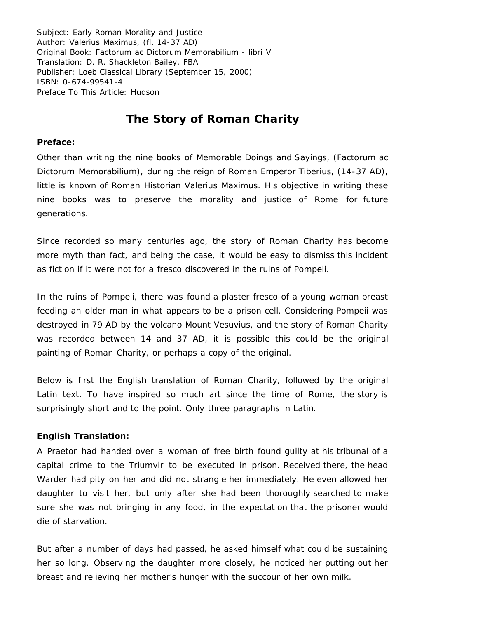Subject: Early Roman Morality and Justice Author: Valerius Maximus, (fl. 14-37 AD) Original Book: Factorum ac Dictorum Memorabilium - libri V Translation: D. R. Shackleton Bailey, FBA Publisher: Loeb Classical Library (September 15, 2000) ISBN: 0-674-99541-4 Preface To This Article: Hudson

## **The Story of Roman Charity**

## **Preface:**

Other than writing the nine books of Memorable Doings and Sayings, (Factorum ac Dictorum Memorabilium), during the reign of Roman Emperor Tiberius, (14-37 AD), little is known of Roman Historian Valerius Maximus. His objective in writing these nine books was to preserve the morality and justice of Rome for future generations.

Since recorded so many centuries ago, the story of Roman Charity has become more myth than fact, and being the case, it would be easy to dismiss this incident as fiction if it were not for a fresco discovered in the ruins of Pompeii.

In the ruins of Pompeii, there was found a plaster fresco of a young woman breast feeding an older man in what appears to be a prison cell. Considering Pompeii was destroyed in 79 AD by the volcano Mount Vesuvius, and the story of Roman Charity was recorded between 14 and 37 AD, it is possible this could be the original painting of Roman Charity, or perhaps a copy of the original.

Below is first the English translation of Roman Charity, followed by the original Latin text. To have inspired so much art since the time of Rome, the story is surprisingly short and to the point. Only three paragraphs in Latin.

## **English Translation:**

A Praetor had handed over a woman of free birth found guilty at his tribunal of a capital crime to the Triumvir to be executed in prison. Received there, the head Warder had pity on her and did not strangle her immediately. He even allowed her daughter to visit her, but only after she had been thoroughly searched to make sure she was not bringing in any food, in the expectation that the prisoner would die of starvation.

But after a number of days had passed, he asked himself what could be sustaining her so long. Observing the daughter more closely, he noticed her putting out her breast and relieving her mother's hunger with the succour of her own milk.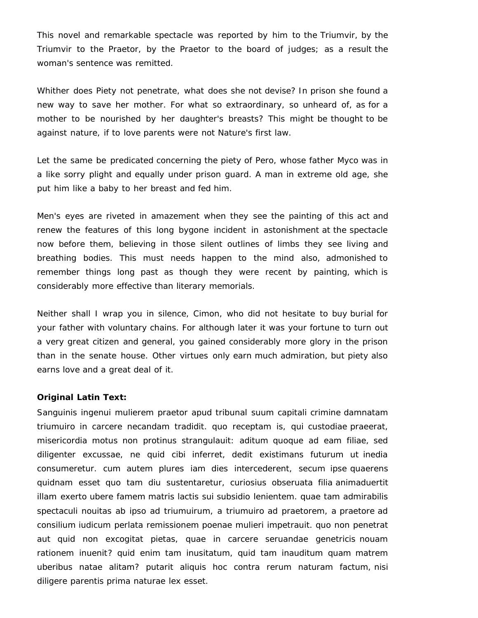This novel and remarkable spectacle was reported by him to the Triumvir, by the Triumvir to the Praetor, by the Praetor to the board of judges; as a result the woman's sentence was remitted.

Whither does Piety not penetrate, what does she not devise? In prison she found a new way to save her mother. For what so extraordinary, so unheard of, as for a mother to be nourished by her daughter's breasts? This might be thought to be against nature, if to love parents were not Nature's first law.

Let the same be predicated concerning the piety of Pero, whose father Myco was in a like sorry plight and equally under prison guard. A man in extreme old age, she put him like a baby to her breast and fed him.

Men's eyes are riveted in amazement when they see the painting of this act and renew the features of this long bygone incident in astonishment at the spectacle now before them, believing in those silent outlines of limbs they see living and breathing bodies. This must needs happen to the mind also, admonished to remember things long past as though they were recent by painting, which is considerably more effective than literary memorials.

Neither shall I wrap you in silence, Cimon, who did not hesitate to buy burial for your father with voluntary chains. For although later it was your fortune to turn out a very great citizen and general, you gained considerably more glory in the prison than in the senate house. Other virtues only earn much admiration, but piety also earns love and a great deal of it.

## **Original Latin Text:**

Sanguinis ingenui mulierem praetor apud tribunal suum capitali crimine damnatam triumuiro in carcere necandam tradidit. quo receptam is, qui custodiae praeerat, misericordia motus non protinus strangulauit: aditum quoque ad eam filiae, sed diligenter excussae, ne quid cibi inferret, dedit existimans futurum ut inedia consumeretur. cum autem plures iam dies intercederent, secum ipse quaerens quidnam esset quo tam diu sustentaretur, curiosius obseruata filia animaduertit illam exerto ubere famem matris lactis sui subsidio lenientem. quae tam admirabilis spectaculi nouitas ab ipso ad triumuirum, a triumuiro ad praetorem, a praetore ad consilium iudicum perlata remissionem poenae mulieri impetrauit. quo non penetrat aut quid non excogitat pietas, quae in carcere seruandae genetricis nouam rationem inuenit? quid enim tam inusitatum, quid tam inauditum quam matrem uberibus natae alitam? putarit aliquis hoc contra rerum naturam factum, nisi diligere parentis prima naturae lex esset.